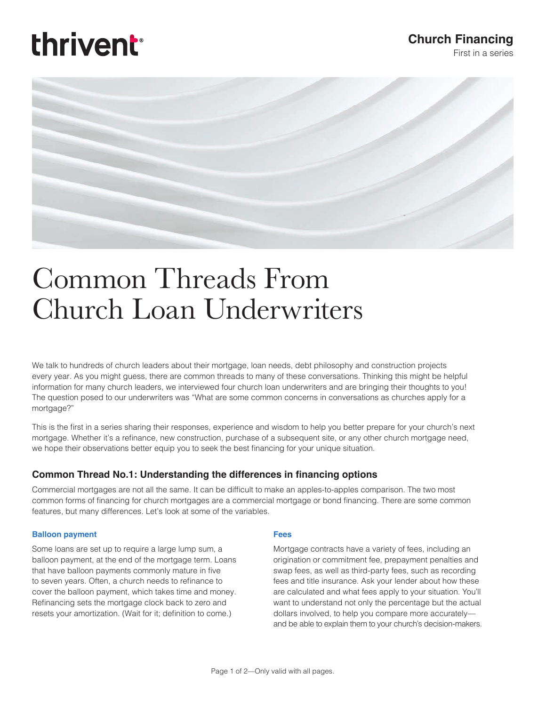# thrivent

### **Church Financing**

First in a series



## Common Threads From Church Loan Underwriters

We talk to hundreds of church leaders about their mortgage, loan needs, debt philosophy and construction projects every year. As you might guess, there are common threads to many of these conversations. Thinking this might be helpful information for many church leaders, we interviewed four church loan underwriters and are bringing their thoughts to you! The question posed to our underwriters was "What are some common concerns in conversations as churches apply for a mortgage?"

This is the first in a series sharing their responses, experience and wisdom to help you better prepare for your church's next mortgage. Whether it's a refinance, new construction, purchase of a subsequent site, or any other church mortgage need, we hope their observations better equip you to seek the best financing for your unique situation.

#### **Common Thread No.1: Understanding the differences in financing options**

Commercial mortgages are not all the same. It can be difficult to make an apples-to-apples comparison. The two most common forms of financing for church mortgages are a commercial mortgage or bond financing. There are some common features, but many differences. Let's look at some of the variables.

#### **Balloon payment**

Some loans are set up to require a large lump sum, a balloon payment, at the end of the mortgage term. Loans that have balloon payments commonly mature in five to seven years. Often, a church needs to refinance to cover the balloon payment, which takes time and money. Refinancing sets the mortgage clock back to zero and resets your amortization. (Wait for it; definition to come.)

#### **Fees**

Mortgage contracts have a variety of fees, including an origination or commitment fee, prepayment penalties and swap fees, as well as third-party fees, such as recording fees and title insurance. Ask your lender about how these are calculated and what fees apply to your situation. You'll want to understand not only the percentage but the actual dollars involved, to help you compare more accurately and be able to explain them to your church's decision-makers.